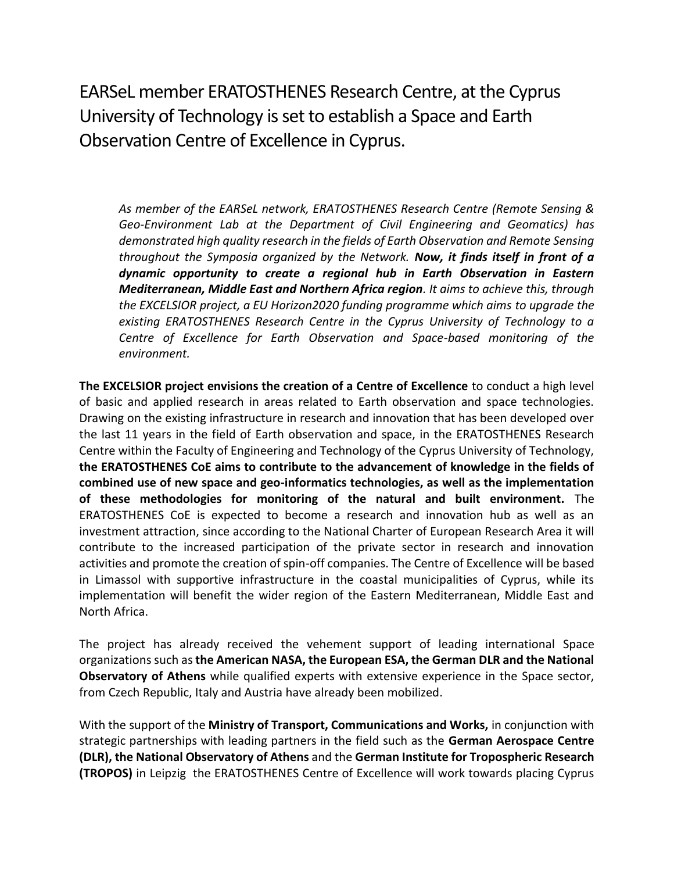EARSeL member ERATOSTHENES Research Centre, at the Cyprus University of Technology is set to establish a Space and Earth Observation Centre of Excellence in Cyprus.

*As member of the EARSeL network, ERATOSTHENES Research Centre (Remote Sensing & Geo-Environment Lab at the Department of Civil Engineering and Geomatics) has demonstrated high quality research in the fields of Earth Observation and Remote Sensing throughout the Symposia organized by the Network. Now, it finds itself in front of a dynamic opportunity to create a regional hub in Earth Observation in Eastern Mediterranean, Middle East and Northern Africa region. It aims to achieve this, through the EXCELSIOR project, a EU Horizon2020 funding programme which aims to upgrade the existing ERATOSTHENES Research Centre in the Cyprus University of Technology to a Centre of Excellence for Earth Observation and Space-based monitoring of the environment.* 

**The EXCELSIOR project envisions the creation of a Centre of Excellence** to conduct a high level of basic and applied research in areas related to Earth observation and space technologies. Drawing on the existing infrastructure in research and innovation that has been developed over the last 11 years in the field of Earth observation and space, in the ERATOSTHENES Research Centre within the Faculty of Engineering and Technology of the Cyprus University of Technology, **the ERATOSTHENES CoE aims to contribute to the advancement of knowledge in the fields of combined use of new space and geo-informatics technologies, as well as the implementation of these methodologies for monitoring of the natural and built environment.** The ERATOSTHENES CoE is expected to become a research and innovation hub as well as an investment attraction, since according to the National Charter of European Research Area it will contribute to the increased participation of the private sector in research and innovation activities and promote the creation of spin-off companies. The Centre of Excellence will be based in Limassol with supportive infrastructure in the coastal municipalities of Cyprus, while its implementation will benefit the wider region of the Eastern Mediterranean, Middle East and North Africa.

The project has already received the vehement support of leading international Space organizations such as **the American NASA, the European ESA, the German DLR and the National Observatory of Athens** while qualified experts with extensive experience in the Space sector, from Czech Republic, Italy and Austria have already been mobilized.

With the support of the **Ministry of Transport, Communications and Works,** in conjunction with strategic partnerships with leading partners in the field such as the **German Aerospace Centre (DLR), the National Observatory of Athens** and the **German Institute for Tropospheric Research (TROPOS)** in Leipzig the ERATOSTHENES Centre of Excellence will work towards placing Cyprus